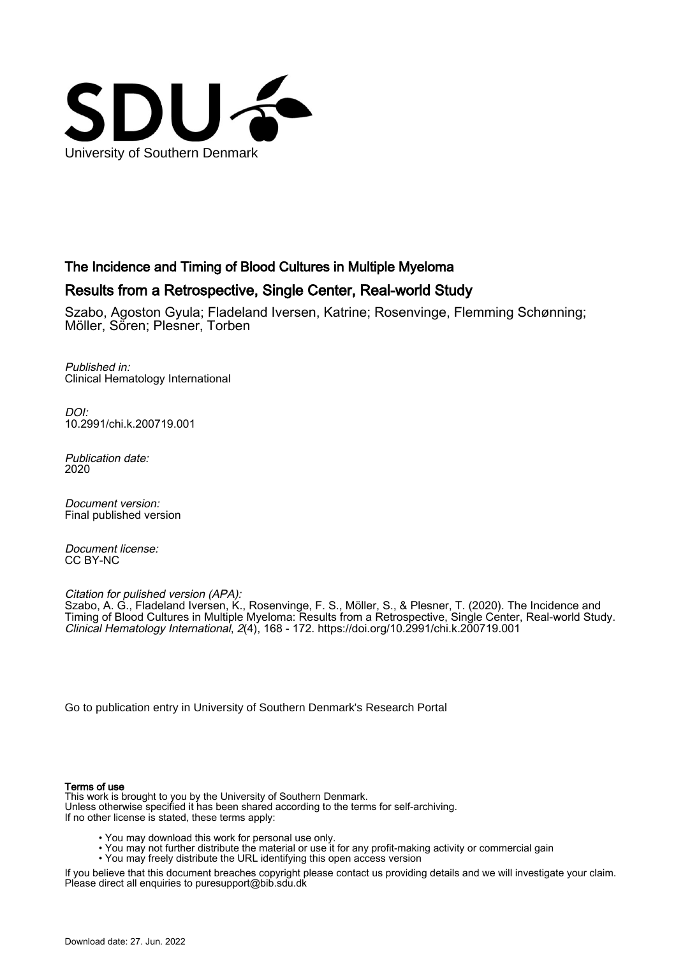

# The Incidence and Timing of Blood Cultures in Multiple Myeloma

# Results from a Retrospective, Single Center, Real-world Study

Szabo, Agoston Gyula; Fladeland Iversen, Katrine; Rosenvinge, Flemming Schønning; Möller, Sören; Plesner, Torben

Published in: Clinical Hematology International

 $D$ [10.2991/chi.k.200719.001](https://doi.org/10.2991/chi.k.200719.001)

Publication date: 2020

Document version: Final published version

Document license: CC BY-NC

Citation for pulished version (APA):

Szabo, A. G., Fladeland Iversen, K., Rosenvinge, F. S., Möller, S., & Plesner, T. (2020). The Incidence and Timing of Blood Cultures in Multiple Myeloma: Results from a Retrospective, Single Center, Real-world Study. Clinical Hematology International, 2(4), 168 - 172. <https://doi.org/10.2991/chi.k.200719.001>

[Go to publication entry in University of Southern Denmark's Research Portal](https://portal.findresearcher.sdu.dk/en/publications/5badcdff-3ba1-46ab-af6b-54ca12df46b2)

#### Terms of use

This work is brought to you by the University of Southern Denmark. Unless otherwise specified it has been shared according to the terms for self-archiving. If no other license is stated, these terms apply:

- You may download this work for personal use only.
- You may not further distribute the material or use it for any profit-making activity or commercial gain
- You may freely distribute the URL identifying this open access version

If you believe that this document breaches copyright please contact us providing details and we will investigate your claim. Please direct all enquiries to puresupport@bib.sdu.dk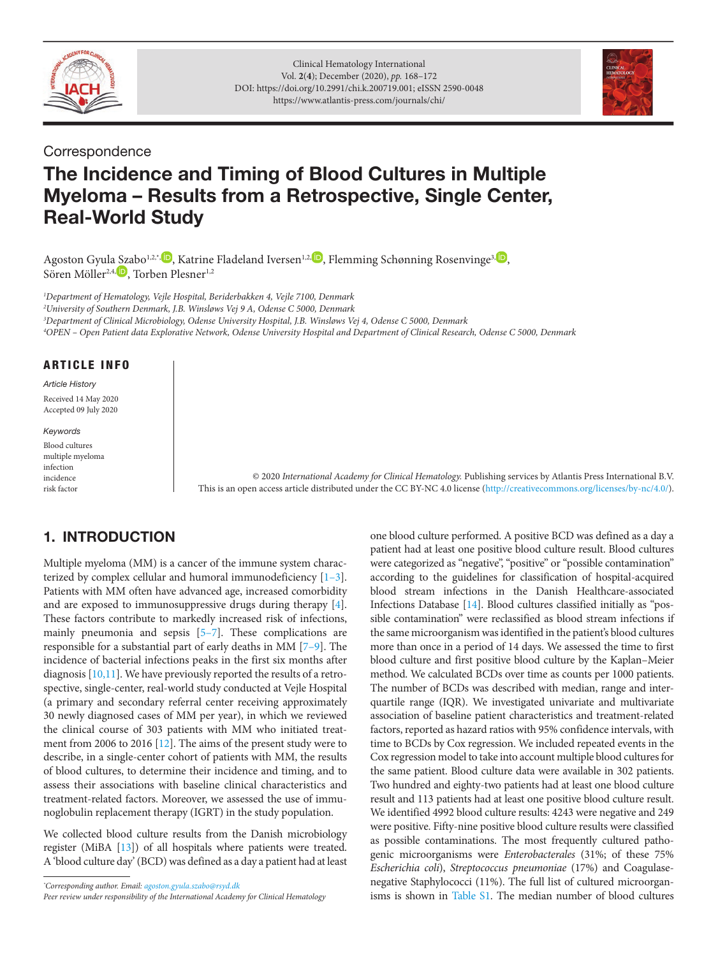



### **Correspondence**

# The Incidence and Timing of Blood Cultures in Multiple Myeloma – Results from a Retrospective, Single Center, Real-World Study

Agoston Gyul[a Sza](http://orcid.org/0000-0003-0858-4269)bo<sup>1[,](http://orcid.org/0000-0003-2129-328X)2,\*, D</sup>, Katrine Fladeland Iversen<sup>1,2, D</sup>, Flemming Schønning Rosenvinge<sup>3, D</sup>, Sören Möller<sup>2,4, D</sup>, Torben Plesner<sup>1,2</sup>

 *Department of Hematology, Vejle Hospital, Beriderbakken 4, Vejle 7100, Denmark University of Southern Denmark, J.B. Winsløws Vej 9 A, Odense C 5000, Denmark Department of Clinical Microbiology, Odense University Hospital, J.B. Winsløws Vej 4, Odense C 5000, Denmark OPEN – Open Patient data Explorative Network, Odense University Hospital and Department of Clinical Research, Odense C 5000, Denmark*

#### ARTICLE INFO

*Article History* Received 14 May 2020 Accepted 09 July 2020

*Keywords*

Blood cultures multiple myeloma infection incidence risk factor

© 2020 *International Academy for Clinical Hematology.* Publishing services by Atlantis Press International B.V. This is an open access article distributed under the CC BY-NC 4.0 license ([http://creativecommons.org/licenses/by-nc/4.0/\)](http://creativecommons.org/licenses/by-nc/4.0/).

# 1. INTRODUCTION

<span id="page-1-7"></span><span id="page-1-6"></span>Multiple myeloma (MM) is a cancer of the immune system characterized by complex cellular and humoral immunodeficiency [[1](#page-3-0)[–3\]](#page-3-1). Patients with MM often have advanced age, increased comorbidity and are exposed to immunosuppressive drugs during therapy [\[4\]](#page-3-2). These factors contribute to markedly increased risk of infections, mainly pneumonia and sepsis [\[5–](#page-3-3)[7](#page-3-4)]. These complications are responsible for a substantial part of early deaths in MM [\[7–](#page-3-4)[9](#page-3-5)]. The incidence of bacterial infections peaks in the first six months after diagnosis [\[10](#page-3-6)[,11](#page-3-7)]. We have previously reported the results of a retrospective, single-center, real-world study conducted at Vejle Hospital (a primary and secondary referral center receiving approximately 30 newly diagnosed cases of MM per year), in which we reviewed the clinical course of 303 patients with MM who initiated treatment from 2006 to 2016 [[12\]](#page-3-8). The aims of the present study were to describe, in a single-center cohort of patients with MM, the results of blood cultures, to determine their incidence and timing, and to assess their associations with baseline clinical characteristics and treatment-related factors. Moreover, we assessed the use of immunoglobulin replacement therapy (IGRT) in the study population.

<span id="page-1-9"></span>We collected blood culture results from the Danish microbiology register (MiBA [\[13\]](#page-3-9)) of all hospitals where patients were treated. A 'blood culture day' (BCD) was defined as a day a patient had at least

*\* Corresponding author. Email: [agoston.gyula.szabo@rsyd.dk](mailto:agoston.gyula.szabo@rsyd.dk)*

*Peer review under responsibility of the International Academy for Clinical Hematology*

<span id="page-1-10"></span><span id="page-1-8"></span><span id="page-1-5"></span><span id="page-1-4"></span><span id="page-1-3"></span><span id="page-1-2"></span><span id="page-1-1"></span><span id="page-1-0"></span>one blood culture performed. A positive BCD was defined as a day a patient had at least one positive blood culture result. Blood cultures were categorized as "negative", "positive" or "possible contamination" according to the guidelines for classification of hospital-acquired blood stream infections in the Danish Healthcare-associated Infections Database [\[14\]](#page-3-10). Blood cultures classified initially as "possible contamination" were reclassified as blood stream infections if the same microorganism was identified in the patient's blood cultures more than once in a period of 14 days. We assessed the time to first blood culture and first positive blood culture by the Kaplan–Meier method. We calculated BCDs over time as counts per 1000 patients. The number of BCDs was described with median, range and interquartile range (IQR). We investigated univariate and multivariate association of baseline patient characteristics and treatment-related factors, reported as hazard ratios with 95% confidence intervals, with time to BCDs by Cox regression. We included repeated events in the Cox regression model to take into account multiple blood cultures for the same patient. Blood culture data were available in 302 patients. Two hundred and eighty-two patients had at least one blood culture result and 113 patients had at least one positive blood culture result. We identified 4992 blood culture results: 4243 were negative and 249 were positive. Fifty-nine positive blood culture results were classified as possible contaminations. The most frequently cultured pathogenic microorganisms were *Enterobacterales* (31%; of these 75% *Escherichia coli*), *Streptococcus pneumoniae* (17%) and Coagulasenegative Staphylococci (11%). The full list of cultured microorganisms is shown in [Table S1.](#page-4-0) The median number of blood cultures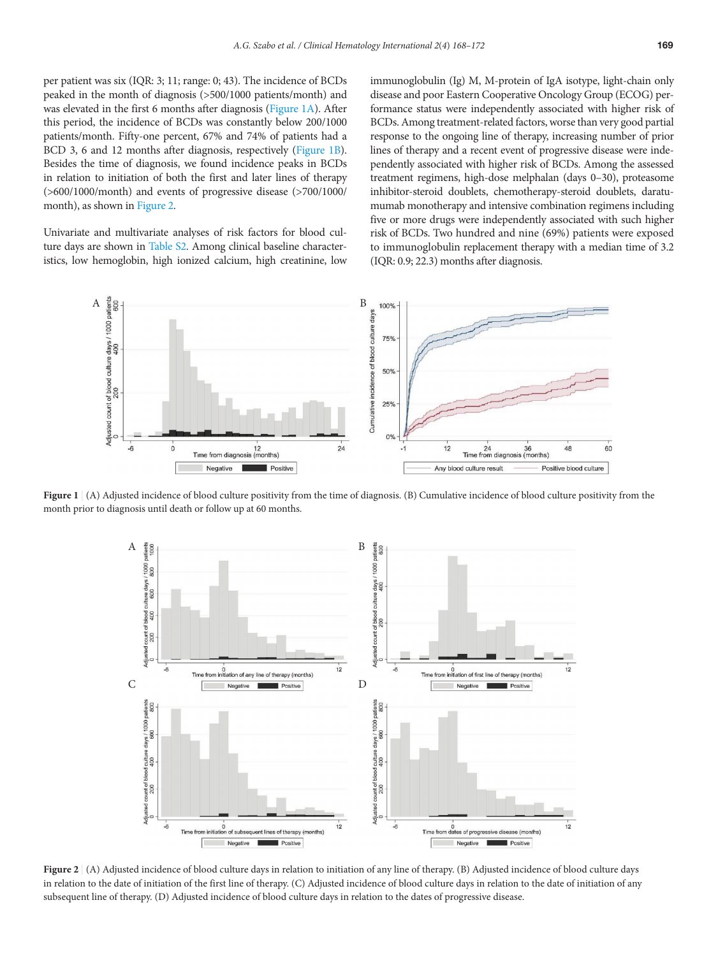per patient was six (IQR: 3; 11; range: 0; 43). The incidence of BCDs peaked in the month of diagnosis (>500/1000 patients/month) and was elevated in the first 6 months after diagnosis ([Figure 1A\)](#page-2-0). After this period, the incidence of BCDs was constantly below 200/1000 patients/month. Fifty-one percent, 67% and 74% of patients had a BCD 3, 6 and 12 months after diagnosis, respectively ([Figure 1B\)](#page-2-0). Besides the time of diagnosis, we found incidence peaks in BCDs in relation to initiation of both the first and later lines of therapy (>600/1000/month) and events of progressive disease (>700/1000/ month), as shown in [Figure 2.](#page-2-1)

Univariate and multivariate analyses of risk factors for blood culture days are shown in [Table S2](#page-4-1). Among clinical baseline characteristics, low hemoglobin, high ionized calcium, high creatinine, low immunoglobulin (Ig) M, M-protein of IgA isotype, light-chain only disease and poor Eastern Cooperative Oncology Group (ECOG) performance status were independently associated with higher risk of BCDs. Among treatment-related factors, worse than very good partial response to the ongoing line of therapy, increasing number of prior lines of therapy and a recent event of progressive disease were independently associated with higher risk of BCDs. Among the assessed treatment regimens, high-dose melphalan (days 0–30), proteasome inhibitor-steroid doublets, chemotherapy-steroid doublets, daratumumab monotherapy and intensive combination regimens including five or more drugs were independently associated with such higher risk of BCDs. Two hundred and nine (69%) patients were exposed to immunoglobulin replacement therapy with a median time of 3.2 (IQR: 0.9; 22.3) months after diagnosis.



Figure 1 | (A) Adjusted incidence of blood culture positivity from the time of diagnosis. (B) Cumulative incidence of blood culture positivity from the month prior to diagnosis until death or follow up at 60 months.

<span id="page-2-0"></span>

<span id="page-2-1"></span>**Figure 2** | (A) Adjusted incidence of blood culture days in relation to initiation of any line of therapy. (B) Adjusted incidence of blood culture days in relation to the date of initiation of the first line of therapy. (C) Adjusted incidence of blood culture days in relation to the date of initiation of any subsequent line of therapy. (D) Adjusted incidence of blood culture days in relation to the dates of progressive disease.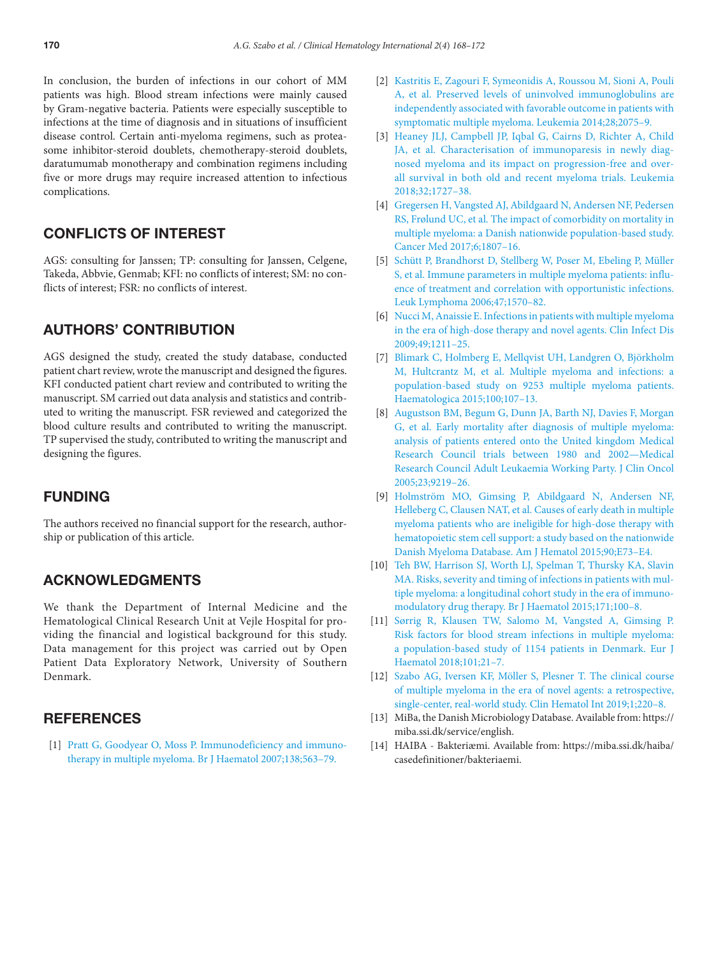In conclusion, the burden of infections in our cohort of MM patients was high. Blood stream infections were mainly caused by Gram-negative bacteria. Patients were especially susceptible to infections at the time of diagnosis and in situations of insufficient disease control. Certain anti-myeloma regimens, such as proteasome inhibitor-steroid doublets, chemotherapy-steroid doublets, daratumumab monotherapy and combination regimens including five or more drugs may require increased attention to infectious complications.

## CONFLICTS OF INTEREST

AGS: consulting for Janssen; TP: consulting for Janssen, Celgene, Takeda, Abbvie, Genmab; KFI: no conflicts of interest; SM: no conflicts of interest: FSR: no conflicts of interest.

#### AUTHORS' CONTRIBUTION

AGS designed the study, created the study database, conducted patient chart review, wrote the manuscript and designed the figures. KFI conducted patient chart review and contributed to writing the manuscript. SM carried out data analysis and statistics and contributed to writing the manuscript. FSR reviewed and categorized the blood culture results and contributed to writing the manuscript. TP supervised the study, contributed to writing the manuscript and designing the figures.

#### FUNDING

The authors received no financial support for the research, authorship or publication of this article.

#### ACKNOWLEDGMENTS

We thank the Department of Internal Medicine and the Hematological Clinical Research Unit at Vejle Hospital for providing the financial and logistical background for this study. Data management for this project was carried out by Open Patient Data Exploratory Network, University of Southern Denmark.

## **REFERENCES**

<span id="page-3-0"></span>[\[1\]](#page-1-0) [Pratt G, Goodyear O, Moss P. Immunodeficiency and immuno](https://doi.org/10.1111/j.1365-2141.2007.06705.x)[therapy in multiple myeloma. Br J Haematol 2007;138;563–79.](https://doi.org/10.1111/j.1365-2141.2007.06705.x)

- [2] [Kastritis E, Zagouri F, Symeonidis A, Roussou M, Sioni A, Pouli](https://doi.org/10.1038/leu.2014.110)  [A, et al. Preserved levels of uninvolved immunoglobulins are](https://doi.org/10.1038/leu.2014.110) [independently associated with favorable outcome in patients with](https://doi.org/10.1038/leu.2014.110) [symptomatic multiple myeloma. Leukemia 2014;28;2075–9.](https://doi.org/10.1038/leu.2014.110)
- <span id="page-3-1"></span>[\[3\]](#page-1-1) [Heaney JLJ, Campbell JP, Iqbal G, Cairns D, Richter A, Child](https://doi.org/10.1038/s41375-018-0163-4)  [JA, et al. Characterisation of immunoparesis in newly diag](https://doi.org/10.1038/s41375-018-0163-4)[nosed myeloma and its impact on progression-free and over](https://doi.org/10.1038/s41375-018-0163-4)[all survival in both old and recent myeloma trials. Leukemia](https://doi.org/10.1038/s41375-018-0163-4)  [2018;32;1727–38.](https://doi.org/10.1038/s41375-018-0163-4)
- <span id="page-3-2"></span>[\[4\]](#page-1-2) [Gregersen H, Vangsted AJ, Abildgaard N, Andersen NF, Pedersen](https://doi.org/10.1002/cam4.1128)  [RS, Frølund UC, et al. The impact of comorbidity on mortality in](https://doi.org/10.1002/cam4.1128) [multiple myeloma: a Danish nationwide population-based study.](https://doi.org/10.1002/cam4.1128) [Cancer Med 2017;6;1807–16.](https://doi.org/10.1002/cam4.1128)
- <span id="page-3-3"></span>[\[5\]](#page-1-3) [Schütt P, Brandhorst D, Stellberg W, Poser M, Ebeling P, Müller](https://doi.org/10.1080/10428190500472503)  [S, et al. Immune parameters in multiple myeloma patients: influ](https://doi.org/10.1080/10428190500472503)[ence of treatment and correlation with opportunistic infections.](https://doi.org/10.1080/10428190500472503) [Leuk Lymphoma 2006;47;1570–82.](https://doi.org/10.1080/10428190500472503)
- [6] [Nucci M, Anaissie E. Infections in patients with multiple myeloma](https://doi.org/10.1086/605664) [in the era of high-dose therapy and novel agents. Clin Infect Dis](https://doi.org/10.1086/605664)  [2009;49;1211–25.](https://doi.org/10.1086/605664)
- <span id="page-3-4"></span>[\[7\]](#page-1-4) [Blimark C, Holmberg E, Mellqvist UH, Landgren O, Björkholm](https://doi.org/10.3324/haematol.2014.107714)  [M, Hultcrantz M, et al. Multiple myeloma and infections: a](https://doi.org/10.3324/haematol.2014.107714) [population-based study on 9253 multiple myeloma patients.](https://doi.org/10.3324/haematol.2014.107714) [Haematologica 2015;100;107–13.](https://doi.org/10.3324/haematol.2014.107714)
- [8] [Augustson BM, Begum G, Dunn JA, Barth NJ, Davies F, Morgan](https://doi.org/10.1200/JCO.2005.03.2086)  [G, et al. Early mortality after diagnosis of multiple myeloma:](https://doi.org/10.1200/JCO.2005.03.2086) [analysis of patients entered onto the United kingdom Medical](https://doi.org/10.1200/JCO.2005.03.2086) [Research Council trials between 1980 and 2002—Medical](https://doi.org/10.1200/JCO.2005.03.2086) [Research Council Adult Leukaemia Working Party. J Clin Oncol](https://doi.org/10.1200/JCO.2005.03.2086)  [2005;23;9219–26.](https://doi.org/10.1200/JCO.2005.03.2086)
- <span id="page-3-5"></span>[\[9\]](#page-1-5) [Holmström MO, Gimsing P, Abildgaard N, Andersen NF,](https://doi.org/10.1002/ajh.23932) [Helleberg C, Clausen NAT, et al. Causes of early death in multiple](https://doi.org/10.1002/ajh.23932) [myeloma patients who are ineligible for high-dose therapy with](https://doi.org/10.1002/ajh.23932) [hematopoietic stem cell support: a study based on the nationwide](https://doi.org/10.1002/ajh.23932) [Danish Myeloma Database. Am J Hematol 2015;90;E73–E4.](https://doi.org/10.1002/ajh.23932)
- <span id="page-3-6"></span>[\[10\]](#page-1-6) [Teh BW, Harrison SJ, Worth LJ, Spelman T, Thursky KA, Slavin](https://doi.org/10.1111/bjh.13532)  [MA. Risks, severity and timing of infections in patients with mul](https://doi.org/10.1111/bjh.13532)[tiple myeloma: a longitudinal cohort study in the era of immuno](https://doi.org/10.1111/bjh.13532)[modulatory drug therapy. Br J Haematol 2015;171;100–8.](https://doi.org/10.1111/bjh.13532)
- <span id="page-3-7"></span>[\[11\]](#page-1-7) [Sørrig R, Klausen TW, Salomo M, Vangsted A, Gimsing P.](https://doi.org/10.1111/ejh.13066)  [Risk factors for blood stream infections in multiple myeloma:](https://doi.org/10.1111/ejh.13066) [a population-based study of 1154 patients in Denmark. Eur J](https://doi.org/10.1111/ejh.13066) [Haematol 2018;101;21–7.](https://doi.org/10.1111/ejh.13066)
- <span id="page-3-8"></span>[\[12\]](#page-1-8) [Szabo AG, Iversen KF, Möller S, Plesner T. The clinical course](https://doi.org/10.2991/chi.d.190805.002) [of multiple myeloma in the era of novel agents: a retrospective,](https://doi.org/10.2991/chi.d.190805.002) [single-center, real-world study. Clin Hematol Int 2019;1;220–8.](https://doi.org/10.2991/chi.d.190805.002)
- <span id="page-3-9"></span>[\[13\]](#page-1-9) MiBa, the Danish Microbiology Database. Available from: https:// miba.ssi.dk/service/english.
- <span id="page-3-10"></span>[\[14\]](#page-1-10) HAIBA - Bakteriæmi. Available from: [https://miba.ssi.dk/haiba/](https://miba.ssi.dk/haiba/casedefinitioner/bakteriaemi) [casedefinitioner/bakteriaemi.](https://miba.ssi.dk/haiba/casedefinitioner/bakteriaemi)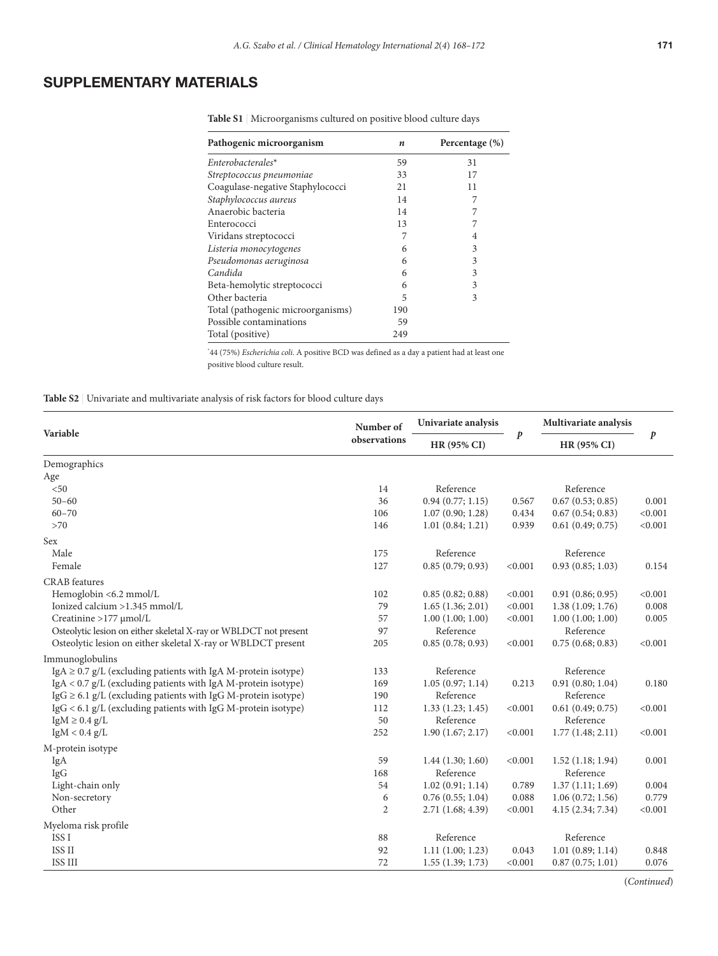# SUPPLEMENTARY MATERIALS

| Pathogenic microorganism          | n   | Percentage $(\%)$ |
|-----------------------------------|-----|-------------------|
| Enterobacterales*                 | 59  | 31                |
| Streptococcus pneumoniae          | 33  | 17                |
| Coagulase-negative Staphylococci  | 21  | 11                |
| Staphylococcus aureus             | 14  | 7                 |
| Anaerobic bacteria                | 14  |                   |
| Enterococci                       | 13  |                   |
| Viridans streptococci             | 7   | 4                 |
| Listeria monocytogenes            | 6   | 3                 |
| Pseudomonas aeruginosa            | 6   | 3                 |
| Candida                           | 6   | 3                 |
| Beta-hemolytic streptococci       | 6   | 3                 |
| Other bacteria                    | 5   | 3                 |
| Total (pathogenic microorganisms) | 190 |                   |
| Possible contaminations           | 59  |                   |
| Total (positive)                  | 249 |                   |

<span id="page-4-0"></span>**Table S1** | Microorganisms cultured on positive blood culture days

\* 44 (75%) *Escherichia coli*. A positive BCD was defined as a day a patient had at least one positive blood culture result.

<span id="page-4-1"></span>**Table S2** | Univariate and multivariate analysis of risk factors for blood culture days

| Variable                                                           | Number of<br>observations | Univariate analysis<br><b>HR (95% CI)</b> | $\boldsymbol{p}$ | Multivariate analysis<br><b>HR (95% CI)</b> | p       |
|--------------------------------------------------------------------|---------------------------|-------------------------------------------|------------------|---------------------------------------------|---------|
|                                                                    |                           |                                           |                  |                                             |         |
| Age                                                                |                           |                                           |                  |                                             |         |
| < 50                                                               | 14                        | Reference                                 |                  | Reference                                   |         |
| $50 - 60$                                                          | 36                        | 0.94(0.77; 1.15)                          | 0.567            | 0.67(0.53; 0.85)                            | 0.001   |
| $60 - 70$                                                          | 106                       | 1.07(0.90; 1.28)                          | 0.434            | 0.67(0.54; 0.83)                            | < 0.001 |
| >70                                                                | 146                       | 1.01(0.84; 1.21)                          | 0.939            | 0.61(0.49; 0.75)                            | < 0.001 |
| Sex                                                                |                           |                                           |                  |                                             |         |
| Male                                                               | 175                       | Reference                                 |                  | Reference                                   |         |
| Female                                                             | 127                       | 0.85(0.79; 0.93)                          | < 0.001          | 0.93(0.85; 1.03)                            | 0.154   |
| <b>CRAB</b> features                                               |                           |                                           |                  |                                             |         |
| Hemoglobin <6.2 mmol/L                                             | 102                       | 0.85(0.82; 0.88)                          | < 0.001          | 0.91(0.86; 0.95)                            | < 0.001 |
| Ionized calcium >1.345 mmol/L                                      | 79                        | 1.65(1.36; 2.01)                          | < 0.001          | 1.38(1.09; 1.76)                            | 0.008   |
| Creatinine >177 µmol/L                                             | 57                        | 1.00(1.00; 1.00)                          | < 0.001          | 1.00(1.00; 1.00)                            | 0.005   |
| Osteolytic lesion on either skeletal X-ray or WBLDCT not present   | 97                        | Reference                                 |                  | Reference                                   |         |
| Osteolytic lesion on either skeletal X-ray or WBLDCT present       | 205                       | 0.85(0.78; 0.93)                          | < 0.001          | 0.75(0.68; 0.83)                            | < 0.001 |
| Immunoglobulins                                                    |                           |                                           |                  |                                             |         |
| IgA $\geq$ 0.7 g/L (excluding patients with IgA M-protein isotype) | 133                       | Reference                                 |                  | Reference                                   |         |
| IgA < $0.7$ g/L (excluding patients with IgA M-protein isotype)    | 169                       | 1.05(0.97; 1.14)                          | 0.213            | 0.91(0.80; 1.04)                            | 0.180   |
| IgG $\geq$ 6.1 g/L (excluding patients with IgG M-protein isotype) | 190                       | Reference                                 |                  | Reference                                   |         |
| $\lg G$ < 6.1 g/L (excluding patients with IgG M-protein isotype)  | 112                       | 1.33(1.23; 1.45)                          | < 0.001          | 0.61(0.49; 0.75)                            | < 0.001 |
| $IgM \geq 0.4 g/L$                                                 | 50                        | Reference                                 |                  | Reference                                   |         |
| IgM < 0.4 g/L                                                      | 252                       | 1.90(1.67; 2.17)                          | < 0.001          | 1.77(1.48; 2.11)                            | < 0.001 |
| M-protein isotype                                                  |                           |                                           |                  |                                             |         |
| IgA                                                                | 59                        | 1.44(1.30; 1.60)                          | < 0.001          | 1.52(1.18; 1.94)                            | 0.001   |
| <b>IgG</b>                                                         | 168                       | Reference                                 |                  | Reference                                   |         |
| Light-chain only                                                   | 54                        | 1.02(0.91; 1.14)                          | 0.789            | 1.37(1.11; 1.69)                            | 0.004   |
| Non-secretory                                                      | 6                         | 0.76(0.55; 1.04)                          | 0.088            | 1.06(0.72; 1.56)                            | 0.779   |
| Other                                                              | $\overline{c}$            | 2.71(1.68; 4.39)                          | < 0.001          | 4.15(2.34; 7.34)                            | < 0.001 |
| Myeloma risk profile                                               |                           |                                           |                  |                                             |         |
| ISS <sub>I</sub>                                                   | 88                        | Reference                                 |                  | Reference                                   |         |
| ISS II                                                             | 92                        | 1.11(1.00; 1.23)                          | 0.043            | 1.01(0.89; 1.14)                            | 0.848   |
| ISS III                                                            | 72                        | 1.55(1.39; 1.73)                          | < 0.001          | 0.87(0.75; 1.01)                            | 0.076   |

(*Continued*)